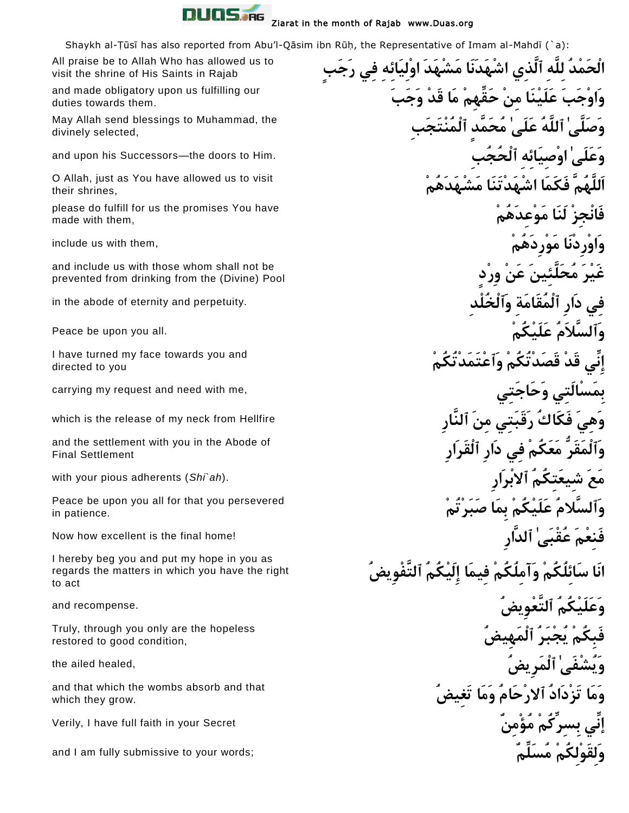

Shaykh al-Țūsī has also reported from Abu'l-Qāsim ibn Rūḥ, the Representative of Imam al-Mahdī (`a):

All praise be to Allah Who has allowed us to visit the shrine of His Saints in Rajab

and made obligatory upon us fulfilling our duties towards them.

May Allah send blessings to Muhammad, the divinely selected,

O Allah, just as You have allowed us to visit their shrines,

please do fulfill for us the promises You have made with them,

and include us with those whom shall not be prevented from drinking from the (Divine) Pool

I have turned my face towards you and directed to you

and the settlement with you in the Abode of Final Settlement

Peace be upon you all for that you persevered in patience.

I hereby beg you and put my hope in you as regards the matters in which you have the right to act

Truly, through you only are the hopeless restored to good condition,

and that which the wombs absorb and that which they grow.

 **الْحَمْدُ لِلَّهِ ٱلَّذِي اشْهَدَنَا مَشْهَدَ اوْلِيَائِهِ فِي رَجَب وَاوْجَبَ عَلَيْنَا مِنْ حَق هِمْ مَا قَدْ وَجَبَ وَصَلَّىٰ ٱللَّهُ عَلَىٰ مُحَمَّد ٱلْمُنْتَجَبِ وَعَلَىٰ اوْصِيَائِهِ ٱلْحُجُبِ** .Him to doors the—Successors his upon and **اَللَّهُمَّ فَكَمَا اشْهَدْتَنَا مَشْهَدَهُمْ فَانْجِزْ لَنَا مَوْعِدَهُمْ** er , and them , with them , with them , with them , with them , with them , with  $\tilde{\mathbf{e}}$  **غَيْرَ مُحَلَّ ئِينَ عَنْ وِرْد فِي دَارِ ٱلْمُقَامَةِ وَٱلْخُلْدِ** .perpetuity and eternity of abode the in **وَٱلسَّالَمُ عَلَيْكُمْ** .all you upon be Peace **إِن ي قَدْ قَصَدْتُكُمْ وَٱعْتَمَدْتُكُمْ بِمَسْالَتِي وَحَاجَتِي** ,me with need and request my carrying **وَهِيَ فَكَاكُ رَقَبَتِي مِنَ ٱلنَّارِ** Hellfire from neck my of release the is which **وَٱلْمَقَرُّ مَعَكُمْ فِي دَارِ ٱلْقَرَارِ مَعَ شِيعَتِكُمُ ٱالبْرَارِ** .(*ah`Shi* (adherents pious your with **وَٱلسَّالمُ عَلَيْكُمْ بِمَا صَبَرْتُمْ**  فَن**ِعْمَ عُقْبَىٰ ٱلدَّارِ اللهَ**ّارِ ﴾ [الدَّارِ الصَّارِ الصَّارِ الصَّارِ ﴾ [Now how excellent is the final home! **انَا سَائِلُكُمْ وَآمِلُكُمْ فِيمَا إِلَيْكُمُ ٱلتَّفْوِيضُ وَعَلَيْكُمُ ٱلتَّعْوِيضُ** .recompense and **فَبِكُمْ يُجْبَرُ ٱلْمَهِيضُ وَيُشْفَىٰ ٱلْمَرِيضُ** ,healed ailed the **وَمَا تَزْدَادُ ٱالرْحَامُ وَمَا تَغِيضُ إن ي بِسِر كُمْ مُؤْمِنٌ** Secret your in faith full have I ,Verily **وَللَّقَوْلِكُمْ مُسَلِّمٌ ۚ** ;words: words: يَا وَلَ**قَوْلِكُمْ مُسَلِّمٌ يَا وَلَقَوْلِكُمْ مُسَلِّمٌ يَا وَلَ**